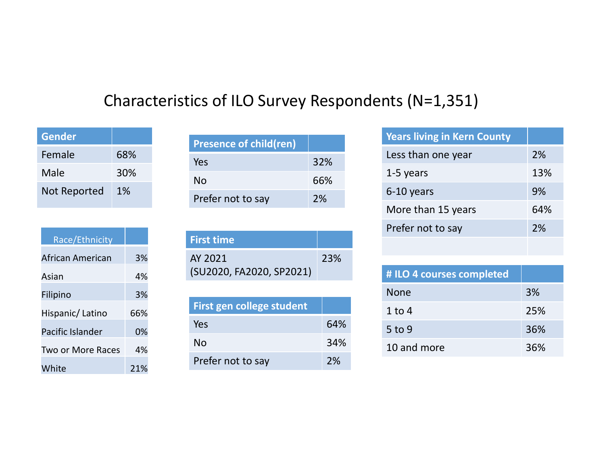## Characteristics of ILO Survey Respondents (N=1,351)

| 68% |
|-----|
| 30% |
| 1%  |
|     |

| <b>Presence of child(ren)</b><br>68%<br>Yes<br>30%<br>66%<br><b>No</b><br>1%<br>Prefer not to say<br>Race/Ethnicity<br><b>First time</b><br>3%<br>AY 2021<br>(SU2020, FA2020, SP2021)<br>4%<br>3%<br>First gen college student<br>66%<br><b>Yes</b> |                  |    | Characteristics of TLO Survey Responder |     |
|-----------------------------------------------------------------------------------------------------------------------------------------------------------------------------------------------------------------------------------------------------|------------------|----|-----------------------------------------|-----|
|                                                                                                                                                                                                                                                     | <b>Gender</b>    |    |                                         |     |
|                                                                                                                                                                                                                                                     | Female           |    |                                         | 32% |
| Not Reported                                                                                                                                                                                                                                        | Male             |    |                                         |     |
| African American<br>Asian<br>Filipino                                                                                                                                                                                                               |                  |    |                                         | 2%  |
|                                                                                                                                                                                                                                                     |                  |    |                                         |     |
|                                                                                                                                                                                                                                                     |                  |    |                                         |     |
|                                                                                                                                                                                                                                                     |                  |    |                                         | 23% |
| Hispanic/Latino                                                                                                                                                                                                                                     |                  |    |                                         |     |
|                                                                                                                                                                                                                                                     |                  |    |                                         |     |
|                                                                                                                                                                                                                                                     |                  |    |                                         |     |
|                                                                                                                                                                                                                                                     | Pacific Islander | 0% |                                         | 64% |
| <b>No</b><br>4%<br><b>Two or More Races</b>                                                                                                                                                                                                         |                  |    |                                         | 34% |
| Prefer not to say<br>White<br>21%                                                                                                                                                                                                                   |                  |    |                                         | 2%  |

|                     |     | <b>Characteristics of ILO Survey Responder</b> |     |
|---------------------|-----|------------------------------------------------|-----|
|                     |     |                                                |     |
| <b>Gender</b>       |     | <b>Presence of child(ren)</b>                  |     |
| Female              | 68% | Yes                                            | 32% |
| Male                | 30% | <b>No</b>                                      | 66% |
| <b>Not Reported</b> | 1%  | Prefer not to say                              | 2%  |
|                     |     |                                                |     |
| Race/Ethnicity      |     | <b>First time</b>                              |     |
| African American    | 3%  | AY 2021                                        | 23% |
| Asian               | 4%  | (SU2020, FA2020, SP2021)                       |     |
| Filipino            | 3%  |                                                |     |
| Hispanic/Latino     | 66% | First gen college student                      |     |
|                     |     | Yes                                            | 64% |

| First time               |
|--------------------------|
| 23%<br>AY 2021           |
|                          |
| (SU2020, FA2020, SP2021) |

| First gen college student |     |  |
|---------------------------|-----|--|
| Yes                       | 64% |  |
| No                        | 34% |  |
| Prefer not to say         | 2%  |  |

| cs of ILO Survey Respondents (N=1,351) |     |
|----------------------------------------|-----|
|                                        |     |
|                                        |     |
| <b>Presence of child(ren)</b>          |     |
| Yes                                    | 32% |
| No                                     | 66% |
| Prefer not to say                      | 2%  |
|                                        |     |
| irst time                              |     |
| Y 2021                                 | 23% |
| SU2020, FA2020, SP2021)                |     |
|                                        |     |
| First gen college student              |     |
| Yes                                    | 64% |
| No                                     | 34% |
|                                        | 2%  |

| <b>No</b>                 | 66% | 1-5 years                 | 13% |
|---------------------------|-----|---------------------------|-----|
|                           | 2%  | 6-10 years                | 9%  |
| Prefer not to say         |     | More than 15 years        | 64% |
|                           |     | Prefer not to say         | 2%  |
| irst time                 |     |                           |     |
| Y 2021                    | 23% |                           |     |
| SU2020, FA2020, SP2021)   |     | # ILO 4 courses completed |     |
|                           |     | <b>None</b>               | 3%  |
| First gen college student |     | $1$ to $4$                | 25% |
| Yes                       | 64% | $5$ to $9$                | 36% |
| <b>No</b>                 | 34% | 10 and more               | 36% |
| Prefer not to say         | 2%  |                           |     |
|                           |     |                           |     |
|                           |     |                           |     |
|                           |     |                           |     |
|                           |     |                           |     |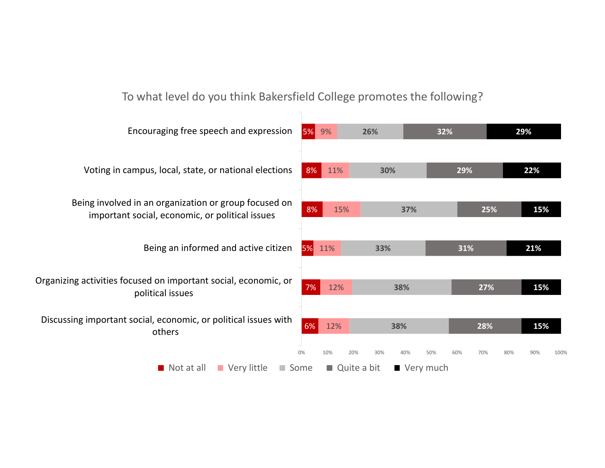### To what level do you think Bakersfield College promotes the following?

| Encouraging free speech and expression                                                                   | 5% 9%     | 26%         | 32%       | 29%  |
|----------------------------------------------------------------------------------------------------------|-----------|-------------|-----------|------|
| Voting in campus, local, state, or national elections                                                    | 8% 11%    | 30%         | 29%       | 22%  |
| Being involved in an organization or group focused on<br>important social, economic, or political issues | 8%<br>15% | 37%         | 25%       | 15%  |
| Being an informed and active citizen                                                                     | 5% 11%    | 33%         | 31%       | 21%  |
| Organizing activities focused on important social, economic, or<br>political issues                      | 7%<br>12% | 38%         | 27%       | 15%  |
| Discussing important social, economic, or political issues with<br>others                                | 6% 12%    | 38%         | 28%       | 15%  |
| Not at all Very little<br>Some                                                                           |           | Quite a bit | Very much | 100% |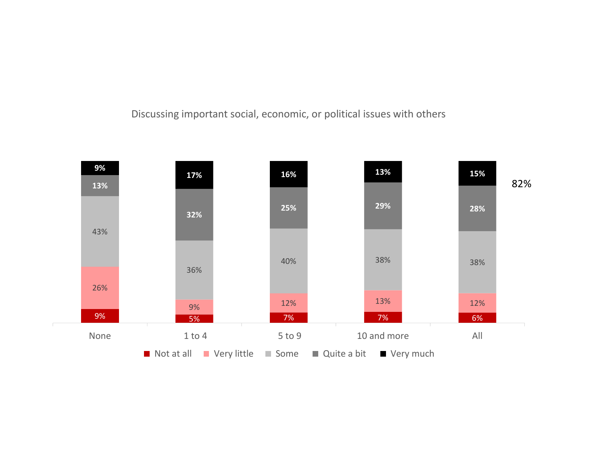### Discussing important social, economic, or political issues with others

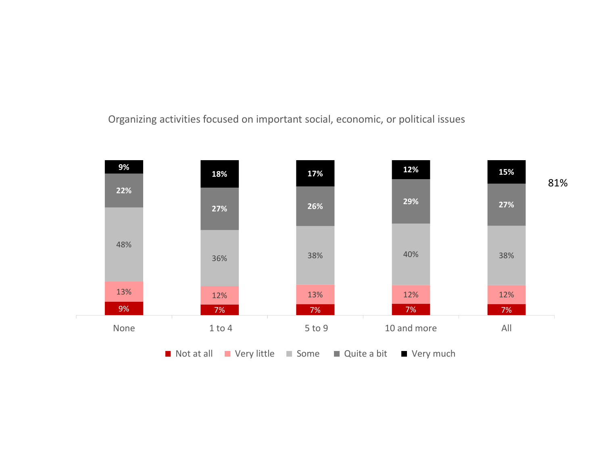Organizing activities focused on important social, economic, or political issues

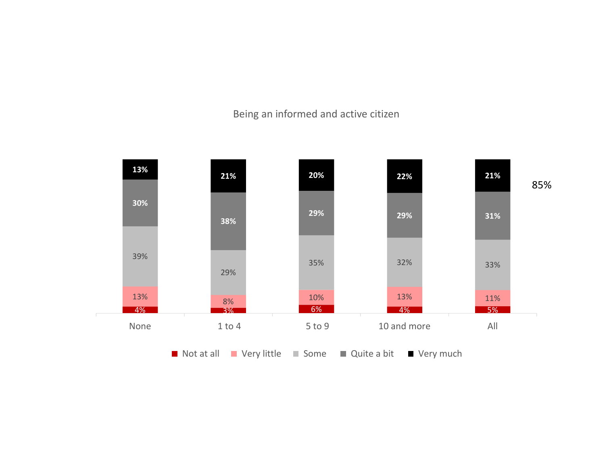### Being an informed and active citizen

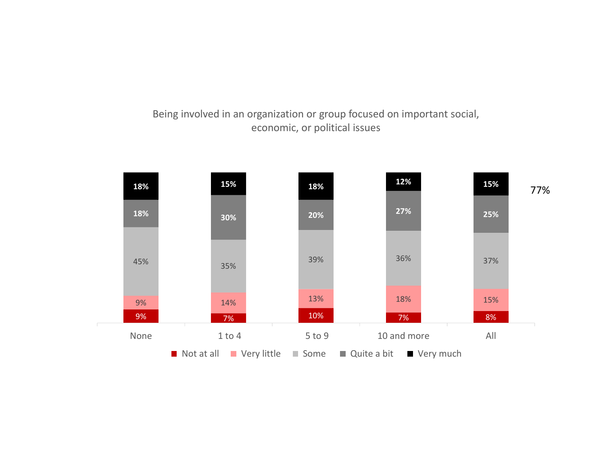### Being involved in an organization or group focused on important social, economic, or political issues

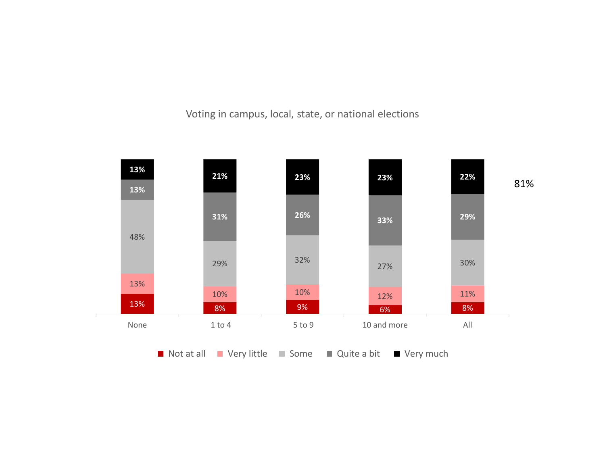Voting in campus, local, state, or national elections

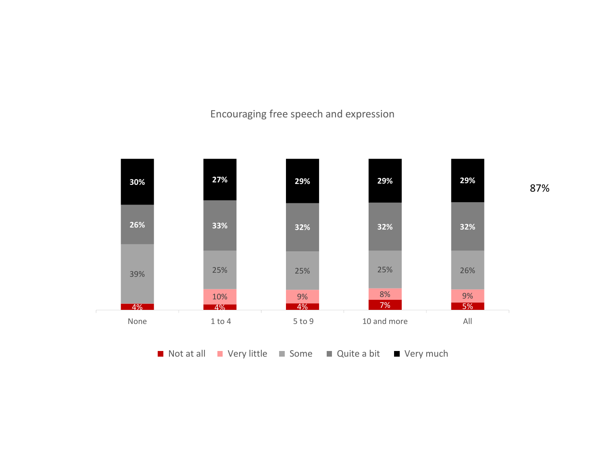Encouraging free speech and expression



87%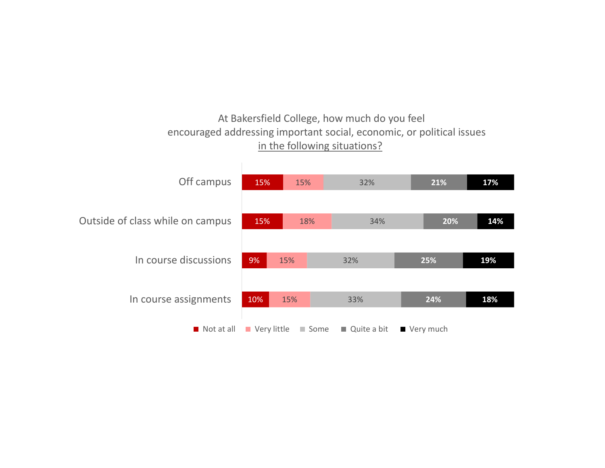### At Bakersfield College, how much do you feel encouraged addressing important social, economic, or political issues in the following situations?

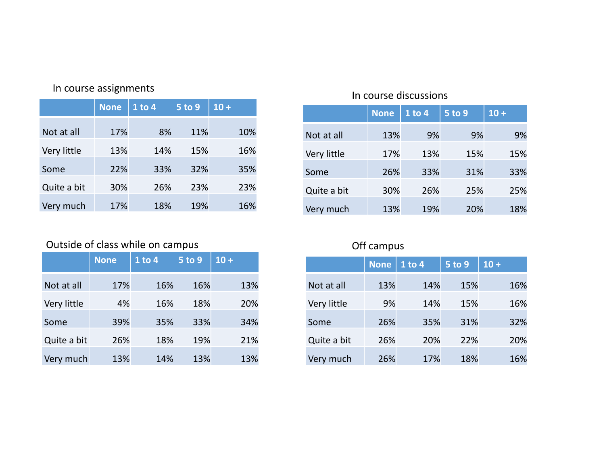| In course assignments |  |  |
|-----------------------|--|--|
|-----------------------|--|--|

| In course assignments            |             |            |               |        |
|----------------------------------|-------------|------------|---------------|--------|
|                                  | <b>None</b> | $1$ to $4$ | <b>5 to 9</b> | $10 +$ |
| Not at all                       | 17%         | 8%         | 11%           | 10%    |
| Very little                      | 13%         | 14%        | 15%           | 16%    |
| Some                             | 22%         | 33%        | 32%           | 35%    |
| Quite a bit                      | 30%         | 26%        | 23%           | 23%    |
| Very much                        | 17%         | 18%        | 19%           | 16%    |
|                                  |             |            |               |        |
| Outside of class while on campus | <b>None</b> | $1$ to $4$ | 5 to 9        | $10 +$ |
|                                  |             |            |               |        |
| Not at all                       | 17%         | 16%        | 16%           | 13%    |
| Very little                      | 4%          | 16%        | 18%           | 20%    |
| Some                             | 39%         | 35%        | 33%           | 34%    |
| Quite a bit                      | 26%         | 18%        | 19%           | 21%    |

# assignments<br>
None 1 to 4 5 to 9 10 +<br>
17% 8% 11% 10% Not at all 13% 9%<br>
13% 14% 15% 16% Very little 17% 13% values discussions<br>
None 1 to 4 5 to 9 10 +<br>
13% 9% 9% 9%<br>
17% 13% 15% 15%<br>
20% 23% 24% 23% 10 m course discussions<br>
10 m course discussions<br>
10 m = 1 to 4 = 5 to 9 = 10 +<br>
13% 9% 9% 9% 9%<br>
15% 9% 9% 9% 9%<br>
15% 9% 9% 9% 9% 9%<br>
15% 9% 9% 9% 9% 9%<br>
15% 9% 9% 9% 9% 9%<br>
15% 9% 9% 9% 9% 9% Very little 17% 13% 15% 15% 10 COUTSE discussions<br>
10 COUTSE 10 2 3 5 6 9 3 4 5 6 9 3 9 4 5 6 9 3 4 5 6 9 3 4 5 6 9 3 4 5 6 9 3 4 5 6 9 4 5 6 9 4 5 6 9 4 5 6 9 4 5 6 9 4 5 6 9 4 5 6 9 4 5 6 9 4 5 6 9 4 5 6 9 4 5 6 9 4 5 6 9 4 5 6 9 4 5 6 9 4 5 6 9 4 Quite a bit 30% 26% 25% 25% 10 course discussions<br>
Not at all<br>
Not at all<br>
13% 9% 9% 9%<br>
Very little<br>
17% 13% 15% 15%<br>
Some 26% 33% 31% 33%<br>
Quite a bit 30% 26% 25% 25%<br>
Very much 13% 19% 20% 18%<br>
Off campus<br>
None | 1 to 4 | 5 to 9 | 10 + None 1 to 4 5 to 9 10 + ourse discussions<br>
None 1 to 4 5 to 9 10 +<br>
13% 9% 9% 9%<br>
17% 13% 15% 15%<br>
26% 33% 31% 33%<br>
30% 26% 25% 25%<br>
13% 19% 20% 18%<br>
campus<br>
None 1 to 4 5 to 9 10 +<br>
13% 14% 15% 16%<br>
9% 14% 15% 16%<br>
26% 35% 14% 15% 16%<br>
26% 35% 1 In course discussions<br>
Not at all 13% 9% 9% 9%<br>
Very little 17% 13% 15% 15%<br>
Some 26% 33% 31% 33%<br>
Auite a bit 30% 26% 25% 25%<br>
Very much 13% 19% 20% 18%<br>
Off campus<br>
Not at all 13% 14% 15% 16%<br>
Very little 9% 14% 15% 16%<br>

### Outside of class while on campus and the control of campus of f campus Off campus

| Not at all                                       | 17%         | 8%         | 11%    | 10%    |
|--------------------------------------------------|-------------|------------|--------|--------|
| Very little                                      | 13%         | 14%        | 15%    | 16%    |
| Some                                             | 22%         | 33%        | 32%    | 35%    |
| Quite a bit                                      | 30%         | 26%        | 23%    | 23%    |
| Very much                                        | 17%         | 18%        | 19%    | 16%    |
|                                                  |             |            |        |        |
| Outside of class while on campus                 |             |            |        |        |
|                                                  | <b>None</b> | $1$ to $4$ | 5 to 9 | $10 +$ |
|                                                  |             |            |        |        |
|                                                  | 17%         | 16%        | 16%    | 13%    |
|                                                  | 4%          | 16%        | 18%    | 20%    |
|                                                  | 39%         | 35%        | 33%    | 34%    |
| Not at all<br>Very little<br>Some<br>Quite a bit | 26%         | 18%        | 19%    | 21%    |
| Very much                                        | 13%         | 14%        | 13%    | 13%    |

|             | <b>None</b> | $1$ to 4 | $5$ to 9      | $10 +$ |
|-------------|-------------|----------|---------------|--------|
| Not at all  | 13%         | 9%       | 9%            | 9%     |
| Very little | 17%         | 13%      | 15%           | 15%    |
| Some        | 26%         | 33%      | 31%           | 33%    |
| Quite a bit | 30%         | 26%      | 25%           | 25%    |
| Very much   | 13%         | 19%      | 20%           | 18%    |
|             |             |          |               |        |
|             | Off campus  |          |               |        |
|             | <b>None</b> | 1 to 4   | <b>5 to 9</b> | $10 +$ |
| Not at all  | 13%         | 14%      | 15%           | 16%    |
| Very little | 9%          | 14%      | 15%           | 16%    |
| Some        | 26%         | 35%      | 31%           | 32%    |
| Quite a bit | 26%         | 20%      | 22%           | 20%    |
| Very much   | 26%         | 17%      | 18%           | 16%    |
|             |             |          |               |        |
|             |             |          |               |        |
|             |             |          |               |        |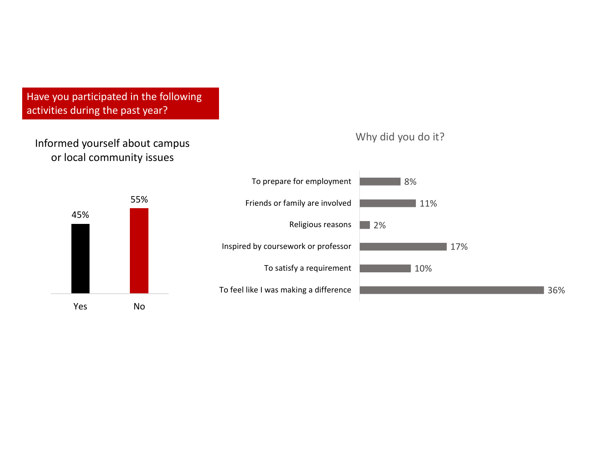### Informed yourself about campus or local community issues

Why did you do it?



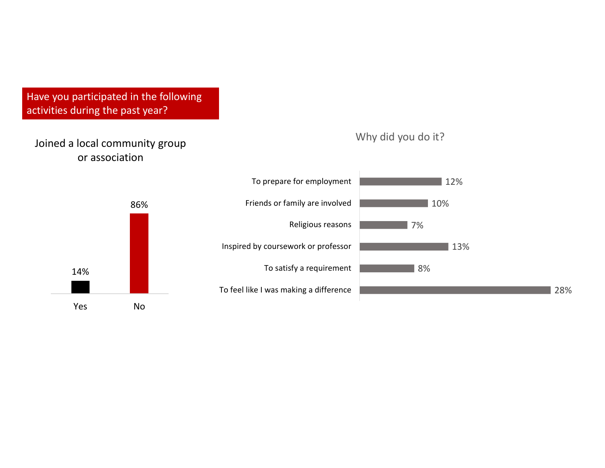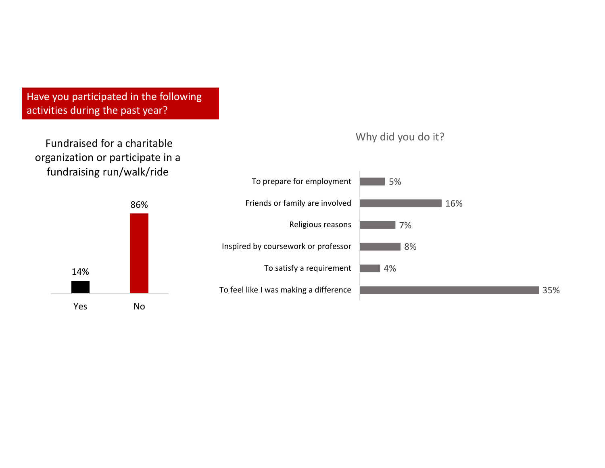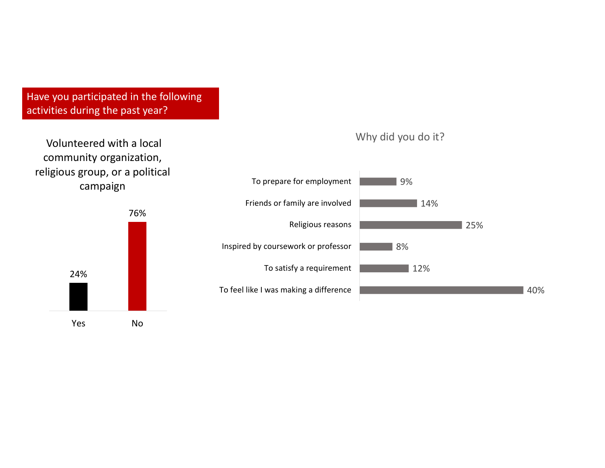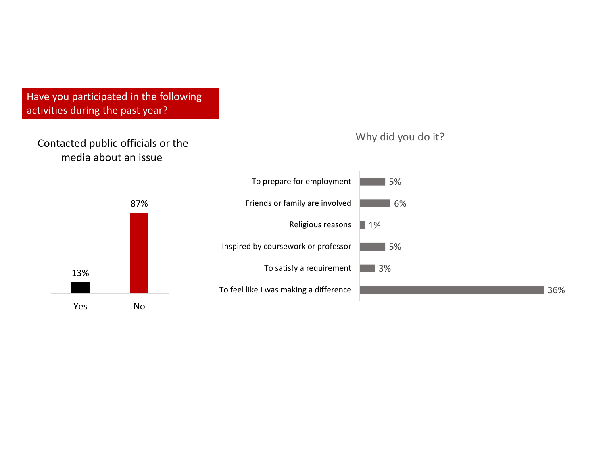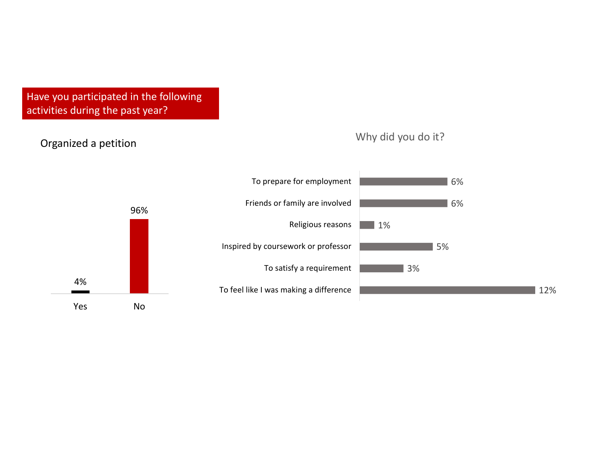### 4% 96% Vhy c<br>
Vhy c<br>
To prepare for employment<br>
Friends or family are involved<br>
Religious reasons<br>
1<br>
Inspired by coursework or professor<br>
To satisfy a requirement<br>
To feel like I was making a difference<br>
No Organized a petition 12% 3% 5% 1% 6% 6% To feel like I was making a difference To satisfy a requirement **The Contract Contract 3%** Inspired by coursework or professor Religious reasons 1% Friends or family are involved **Friends** or family are involved To prepare for employment Why did you do it?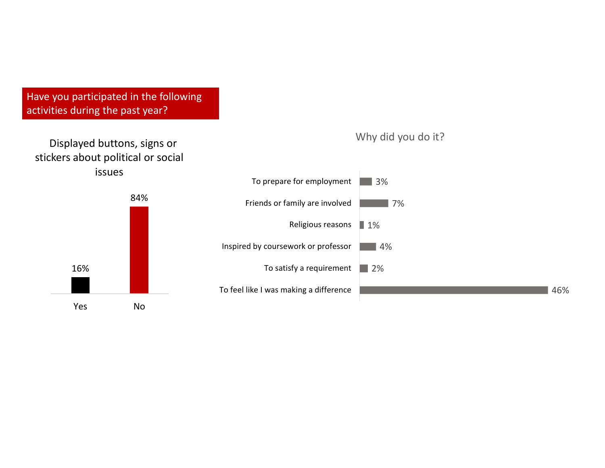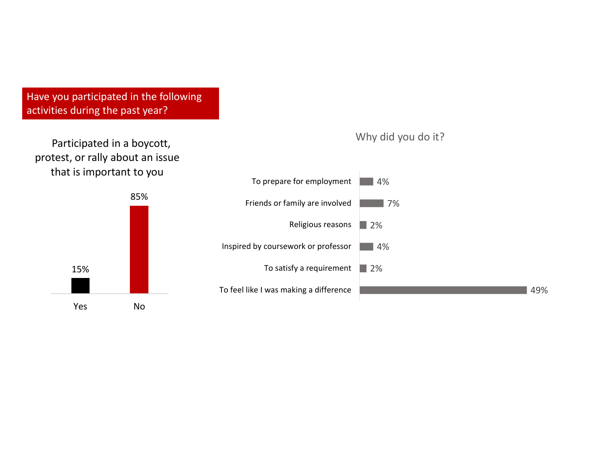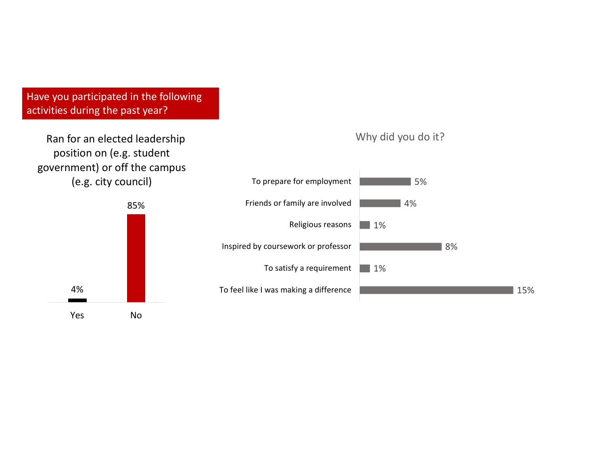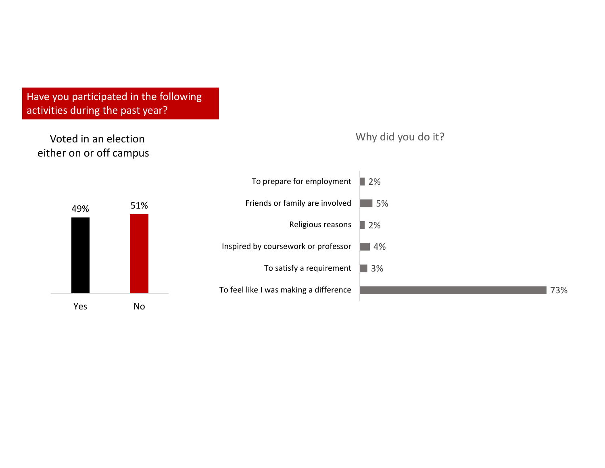

73%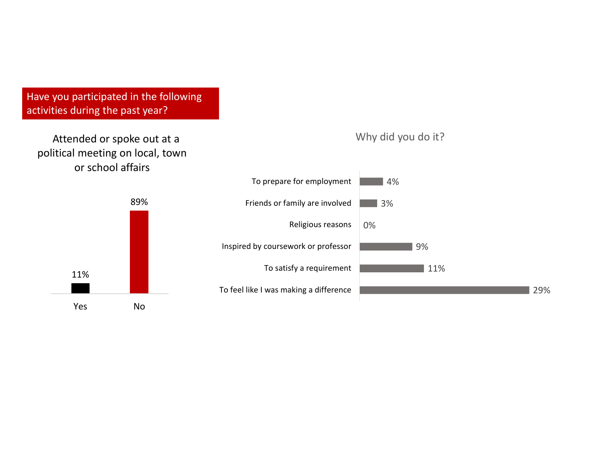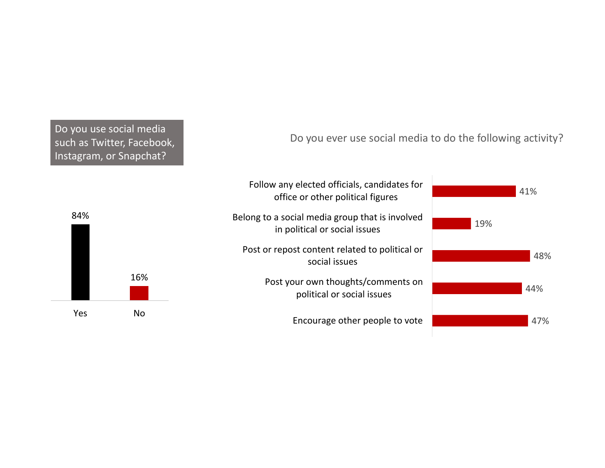